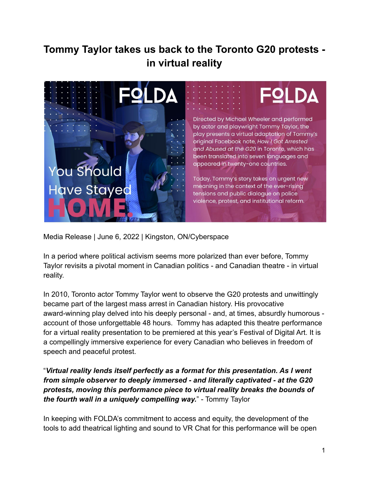# **Tommy Taylor takes us back to the Toronto G20 protests in virtual reality**



Media Release | June 6, 2022 | Kingston, ON/Cyberspace

In a period where political activism seems more polarized than ever before, Tommy Taylor revisits a pivotal moment in Canadian politics - and Canadian theatre - in virtual reality.

In 2010, Toronto actor Tommy Taylor went to observe the G20 protests and unwittingly became part of the largest mass arrest in Canadian history. His provocative award-winning play delved into his deeply personal - and, at times, absurdly humorous account of those unforgettable 48 hours. Tommy has adapted this theatre performance for a virtual reality presentation to be premiered at this year's Festival of Digital Art. It is a compellingly immersive experience for every Canadian who believes in freedom of speech and peaceful protest.

"*Virtual reality lends itself perfectly as a format for this presentation. As I went from simple observer to deeply immersed - and literally captivated - at the G20 protests, moving this performance piece to virtual reality breaks the bounds of the fourth wall in a uniquely compelling way.*" - Tommy Taylor

In keeping with FOLDA's commitment to access and equity, the development of the tools to add theatrical lighting and sound to VR Chat for this performance will be open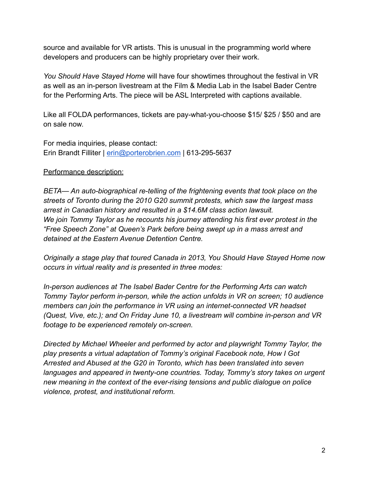source and available for VR artists. This is unusual in the programming world where developers and producers can be highly proprietary over their work.

*You Should Have Stayed Home* will have four showtimes throughout the festival in VR as well as an in-person livestream at the Film & Media Lab in the Isabel Bader Centre for the Performing Arts. The piece will be ASL Interpreted with captions available.

Like all FOLDA performances, tickets are pay-what-you-choose \$15/ \$25 / \$50 and are on sale now.

For media inquiries, please contact: Erin Brandt Filliter | [erin@porterobrien.com](mailto:erin@porterobrien.ca) | 613-295-5637

#### Performance description:

*BETA— An auto-biographical re-telling of the frightening events that took place on the streets of Toronto during the 2010 G20 summit protests, which saw the largest mass arrest in Canadian history and resulted in a \$14.6M class action lawsuit. We join Tommy Taylor as he recounts his journey attending his first ever protest in the "Free Speech Zone" at Queen's Park before being swept up in a mass arrest and detained at the Eastern Avenue Detention Centre.*

*Originally a stage play that toured Canada in 2013, You Should Have Stayed Home now occurs in virtual reality and is presented in three modes:*

*In-person audiences at The Isabel Bader Centre for the Performing Arts can watch Tommy Taylor perform in-person, while the action unfolds in VR on screen; 10 audience members can join the performance in VR using an internet-connected VR headset (Quest, Vive, etc.); and On Friday June 10, a livestream will combine in-person and VR footage to be experienced remotely on-screen.*

*Directed by Michael Wheeler and performed by actor and playwright Tommy Taylor, the play presents a virtual adaptation of Tommy's original Facebook note, How I Got Arrested and Abused at the G20 in Toronto, which has been translated into seven languages and appeared in twenty-one countries. Today, Tommy's story takes on urgent new meaning in the context of the ever-rising tensions and public dialogue on police violence, protest, and institutional reform.*